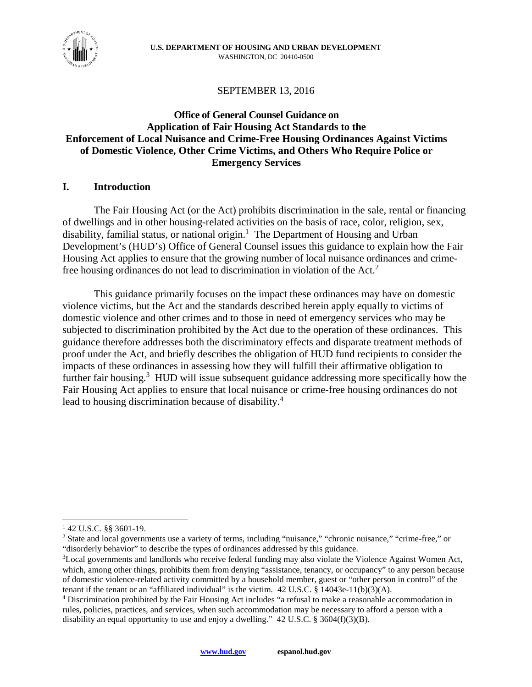

# SEPTEMBER 13, 2016

# **Office of General Counsel Guidance on Application of Fair Housing Act Standards to the Enforcement of Local Nuisance and Crime-Free Housing Ordinances Against Victims of Domestic Violence, Other Crime Victims, and Others Who Require Police or Emergency Services**

## **I. Introduction**

The Fair Housing Act (or the Act) prohibits discrimination in the sale, rental or financing of dwellings and in other housing-related activities on the basis of race, color, religion, sex, disability, familial status, or national origin.<sup>1</sup> The Department of Housing and Urban Development's (HUD's) Office of General Counsel issues this guidance to explain how the Fair Housing Act applies to ensure that the growing number of local nuisance ordinances and crimefree housing ordinances do not lead to discrimination in violation of the Act.<sup>2</sup>

This guidance primarily focuses on the impact these ordinances may have on domestic violence victims, but the Act and the standards described herein apply equally to victims of domestic violence and other crimes and to those in need of emergency services who may be subjected to discrimination prohibited by the Act due to the operation of these ordinances. This guidance therefore addresses both the discriminatory effects and disparate treatment methods of proof under the Act, and briefly describes the obligation of HUD fund recipients to consider the impacts of these ordinances in assessing how they will fulfill their affirmative obligation to further fair housing.<sup>3</sup> HUD will issue subsequent guidance addressing more specifically how the Fair Housing Act applies to ensure that local nuisance or crime-free housing ordinances do not lead to housing discrimination because of disability.<sup>4</sup>

<sup>1</sup> 42 U.S.C. §§ 3601-19.

<sup>&</sup>lt;sup>2</sup> State and local governments use a variety of terms, including "nuisance," "chronic nuisance," "crime-free," or "disorderly behavior" to describe the types of ordinances addressed by this guidance.

<sup>&</sup>lt;sup>3</sup>Local governments and landlords who receive federal funding may also violate the Violence Against Women Act, which, among other things, prohibits them from denying "assistance, tenancy, or occupancy" to any person because of domestic violence-related activity committed by a household member, guest or "other person in control" of the tenant if the tenant or an "affiliated individual" is the victim.  $42$  U.S.C. § 14043e-11(b)(3)(A).

<sup>&</sup>lt;sup>4</sup> Discrimination prohibited by the Fair Housing Act includes "a refusal to make a reasonable accommodation in rules, policies, practices, and services, when such accommodation may be necessary to afford a person with a disability an equal opportunity to use and enjoy a dwelling." 42 U.S.C. § 3604(f)(3)(B).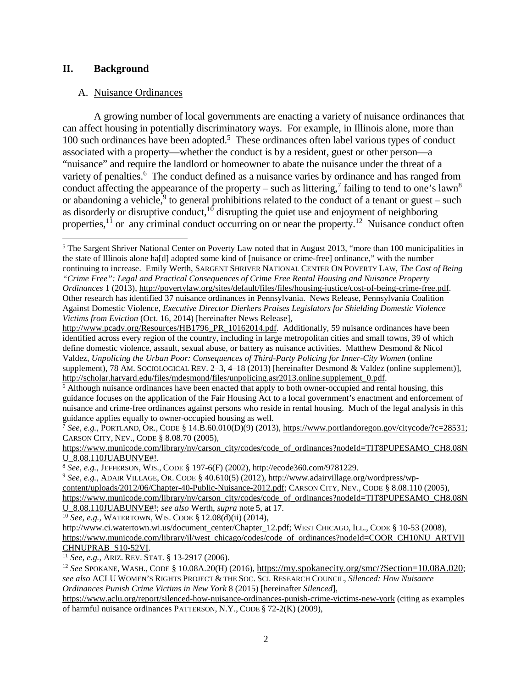## **II. Background**

#### A. Nuisance Ordinances

A growing number of local governments are enacting a variety of nuisance ordinances that can affect housing in potentially discriminatory ways. For example, in Illinois alone, more than 100 such ordinances have been adopted.<sup>5</sup> These ordinances often label various types of conduct associated with a property—whether the conduct is by a resident, guest or other person—a "nuisance" and require the landlord or homeowner to abate the nuisance under the threat of a variety of penalties.<sup>6</sup> The conduct defined as a nuisance varies by ordinance and has ranged from conduct affecting the appearance of the property – such as littering,<sup>7</sup> failing to tend to one's lawn<sup>8</sup> or abandoning a vehicle,  $9$  to general prohibitions related to the conduct of a tenant or guest – such as disorderly or disruptive conduct, $10$  disrupting the quiet use and enjoyment of neighboring properties,  $^{11}$  or any criminal conduct occurring on or near the property.<sup>12</sup> Nuisance conduct often

<sup>7</sup> *See, e.g.*, PORTLAND, OR., CODE § 14.B.60.010(D)(9) (2013), https://www.portlandoregon.gov/citycode/?c=28531; CARSON CITY, NEV., CODE § 8.08.70 (2005),

https://www.municode.com/library/nv/carson\_city/codes/code\_of\_ordinances?nodeId=TIT8PUPESAMO\_CH8.08N U\_8.08.110JUABUNVE#!.

<sup>8</sup> *See, e.g.*, JEFFERSON, WIS., CODE § 197-6(F) (2002), http://ecode360.com/9781229.

<sup>9</sup> *See, e.g.*, ADAIR VILLAGE, OR. CODE § 40.610(5) (2012), http://www.adairvillage.org/wordpress/wpcontent/uploads/2012/06/Chapter-40-Public-Nuisance-2012.pdf; CARSON CITY, NEV., CODE § 8.08.110 (2005), https://www.municode.com/library/nv/carson\_city/codes/code\_of\_ordinances?nodeId=TIT8PUPESAMO\_CH8.08N U\_8.08.110JUABUNVE#!; *see also* Werth, *supra* note 5, at 17.

<sup>10</sup> *See, e.g.*, WATERTOWN, WIS. CODE § 12.08(d)(ii) (2014),

<sup>11</sup> *See, e.g.*, ARIZ. REV. STAT. § 13-2917 (2006).

https://www.aclu.org/report/silenced-how-nuisance-ordinances-punish-crime-victims-new-york (citing as examples of harmful nuisance ordinances PATTERSON, N.Y., CODE § 72-2(K) (2009),

<sup>&</sup>lt;sup>5</sup> The Sargent Shriver National Center on Poverty Law noted that in August 2013, "more than 100 municipalities in the state of Illinois alone ha[d] adopted some kind of [nuisance or crime-free] ordinance," with the number continuing to increase. Emily Werth, SARGENT SHRIVER NATIONAL CENTER ON POVERTY LAW, *The Cost of Being "Crime Free": Legal and Practical Consequences of Crime Free Rental Housing and Nuisance Property Ordinances* 1 (2013), http://povertylaw.org/sites/default/files/files/housing-justice/cost-of-being-crime-free.pdf. Other research has identified 37 nuisance ordinances in Pennsylvania. News Release, Pennsylvania Coalition Against Domestic Violence, *Executive Director Dierkers Praises Legislators for Shielding Domestic Violence Victims from Eviction* (Oct. 16, 2014) [hereinafter News Release],

http://www.pcadv.org/Resources/HB1796\_PR\_10162014.pdf. Additionally, 59 nuisance ordinances have been identified across every region of the country, including in large metropolitan cities and small towns, 39 of which define domestic violence, assault, sexual abuse, or battery as nuisance activities. Matthew Desmond & Nicol Valdez, *Unpolicing the Urban Poor: Consequences of Third-Party Policing for Inner-City Women* (online supplement), 78 AM. SOCIOLOGICAL REV. 2–3, 4–18 (2013) [hereinafter Desmond & Valdez (online supplement)], http://scholar.harvard.edu/files/mdesmond/files/unpolicing.asr2013.online.supplement\_0.pdf.

<sup>&</sup>lt;sup>6</sup> Although nuisance ordinances have been enacted that apply to both owner-occupied and rental housing, this guidance focuses on the application of the Fair Housing Act to a local government's enactment and enforcement of nuisance and crime-free ordinances against persons who reside in rental housing. Much of the legal analysis in this guidance applies equally to owner-occupied housing as well.

http://www.ci.watertown.wi.us/document\_center/Chapter\_12.pdf; WEST CHICAGO, ILL., CODE § 10-53 (2008), https://www.municode.com/library/il/west\_chicago/codes/code\_of\_ordinances?nodeId=COOR\_CH10NU\_ARTVII CHNUPRAB\_S10-52VI.

<sup>12</sup> *See* SPOKANE, WASH., CODE § 10.08A.20(H) (2016), https://my.spokanecity.org/smc/?Section=10.08A.020; *see also* ACLU WOMEN'S RIGHTS PROJECT & THE SOC. SCI. RESEARCH COUNCIL, *Silenced: How Nuisance Ordinances Punish Crime Victims in New York* 8 (2015) [hereinafter *Silenced*],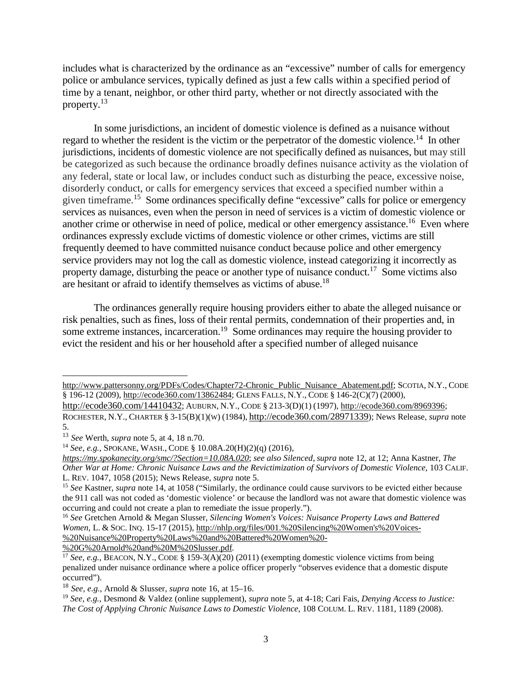includes what is characterized by the ordinance as an "excessive" number of calls for emergency police or ambulance services, typically defined as just a few calls within a specified period of time by a tenant, neighbor, or other third party, whether or not directly associated with the property.<sup>13</sup>

In some jurisdictions, an incident of domestic violence is defined as a nuisance without regard to whether the resident is the victim or the perpetrator of the domestic violence.<sup>14</sup> In other jurisdictions, incidents of domestic violence are not specifically defined as nuisances, but may still be categorized as such because the ordinance broadly defines nuisance activity as the violation of any federal, state or local law, or includes conduct such as disturbing the peace, excessive noise, disorderly conduct, or calls for emergency services that exceed a specified number within a given timeframe.<sup>15</sup> Some ordinances specifically define "excessive" calls for police or emergency services as nuisances, even when the person in need of services is a victim of domestic violence or another crime or otherwise in need of police, medical or other emergency assistance.<sup>16</sup> Even where ordinances expressly exclude victims of domestic violence or other crimes, victims are still frequently deemed to have committed nuisance conduct because police and other emergency service providers may not log the call as domestic violence, instead categorizing it incorrectly as property damage, disturbing the peace or another type of nuisance conduct.<sup>17</sup> Some victims also are hesitant or afraid to identify themselves as victims of abuse.<sup>18</sup>

The ordinances generally require housing providers either to abate the alleged nuisance or risk penalties, such as fines, loss of their rental permits, condemnation of their properties and, in some extreme instances, incarceration.<sup>19</sup> Some ordinances may require the housing provider to evict the resident and his or her household after a specified number of alleged nuisance

http://www.pattersonny.org/PDFs/Codes/Chapter72-Chronic\_Public\_Nuisance\_Abatement.pdf; SCOTIA, N.Y., CODE § 196-12 (2009), http://ecode360.com/13862484; GLENS FALLS, N.Y., CODE § 146-2(C)(7) (2000), http://ecode360.com/14410432; AUBURN, N.Y., CODE § 213-3(D)(1) (1997), http://ecode360.com/8969396;

ROCHESTER, N.Y., CHARTER § 3-15(B)(1)(W) (1984), http://ecode360.com/28971339); News Release, *supra* note 5.

%20G%20Arnold%20and%20M%20Slusser.pdf*.*

<sup>13</sup> *See* Werth, *supra* note 5, at 4, 18 n.70.

<sup>14</sup> *See, e.g.*, SPOKANE, WASH., CODE § 10.08A.20(H)(2)(q) (2016),

*https://my.spokanecity.org/smc/?Section=10.08A.020*; *see also Silenced*, *supra* note 12, at 12; Anna Kastner, *The Other War at Home: Chronic Nuisance Laws and the Revictimization of Survivors of Domestic Violence*, 103 CALIF. L. REV. 1047, 1058 (2015); News Release, *supra* note 5.

<sup>15</sup> *See* Kastner, *supra* note 14, at 1058 ("Similarly, the ordinance could cause survivors to be evicted either because the 911 call was not coded as 'domestic violence' or because the landlord was not aware that domestic violence was occurring and could not create a plan to remediate the issue properly.").

<sup>16</sup> *See* Gretchen Arnold & Megan Slusser, *Silencing Women's Voices: Nuisance Property Laws and Battered Women*, L. & SOC. INQ. 15-17 (2015), http://nhlp.org/files/001.%20Silencing%20Women's%20Voices- %20Nuisance%20Property%20Laws%20and%20Battered%20Women%20-

<sup>&</sup>lt;sup>17</sup> *See, e.g.*, BEACON, N.Y., CODE § 159-3(A)(20) (2011) (exempting domestic violence victims from being penalized under nuisance ordinance where a police officer properly "observes evidence that a domestic dispute occurred").

<sup>18</sup> *See, e.g.*, Arnold & Slusser, *supra* note 16, at 15–16.

<sup>19</sup> *See, e.g.*, Desmond & Valdez (online supplement), *supra* note 5, at 4-18; Cari Fais, *Denying Access to Justice: The Cost of Applying Chronic Nuisance Laws to Domestic Violence*, 108 COLUM. L. REV. 1181, 1189 (2008).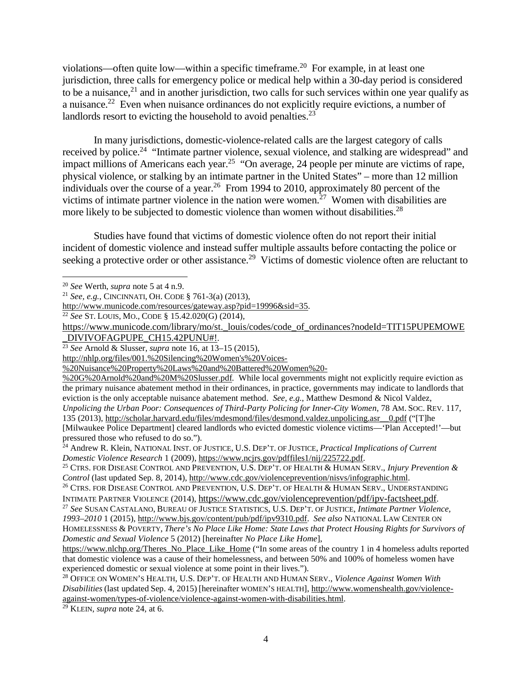violations—often quite low—within a specific timeframe.<sup>20</sup> For example, in at least one jurisdiction, three calls for emergency police or medical help within a 30-day period is considered to be a nuisance,  $2<sup>1</sup>$  and in another jurisdiction, two calls for such services within one year qualify as a nuisance.<sup>22</sup> Even when nuisance ordinances do not explicitly require evictions, a number of landlords resort to evicting the household to avoid penalties. $^{23}$ 

In many jurisdictions, domestic-violence-related calls are the largest category of calls received by police.<sup>24</sup> "Intimate partner violence, sexual violence, and stalking are widespread" and impact millions of Americans each year.<sup>25</sup> "On average, 24 people per minute are victims of rape, physical violence, or stalking by an intimate partner in the United States" – more than 12 million individuals over the course of a year.<sup>26</sup> From 1994 to 2010, approximately 80 percent of the victims of intimate partner violence in the nation were women.<sup>27</sup> Women with disabilities are more likely to be subjected to domestic violence than women without disabilities.<sup>28</sup>

Studies have found that victims of domestic violence often do not report their initial incident of domestic violence and instead suffer multiple assaults before contacting the police or seeking a protective order or other assistance.<sup>29</sup> Victims of domestic violence often are reluctant to

http://nhlp.org/files/001.%20Silencing%20Women's%20Voices-

%20G%20Arnold%20and%20M%20Slusser.pdf*.* While local governments might not explicitly require eviction as the primary nuisance abatement method in their ordinances, in practice, governments may indicate to landlords that eviction is the only acceptable nuisance abatement method. *See, e.g.*, Matthew Desmond & Nicol Valdez, *Unpolicing the Urban Poor: Consequences of Third-Party Policing for Inner-City Women*, 78 AM. SOC. REV. 117,

135 (2013), http://scholar.harvard.edu/files/mdesmond/files/desmond.valdez.unpolicing.asr\_\_0.pdf ("[T]he [Milwaukee Police Department] cleared landlords who evicted domestic violence victims—'Plan Accepted!'—but

<sup>20</sup> *See* Werth, *supra* note 5 at 4 n.9.

<sup>21</sup> *See, e.g.*, CINCINNATI, OH. CODE § 761-3(a) (2013),

http://www.municode.com/resources/gateway.asp?pid=19996&sid=35.

<sup>22</sup> *See* ST. LOUIS, MO., CODE § 15.42.020(G) (2014),

https://www.municode.com/library/mo/st.\_louis/codes/code\_of\_ordinances?nodeId=TIT15PUPEMOWE \_DIVIVOFAGPUPE\_CH15.42PUNU#!.

<sup>23</sup> *See* Arnold & Slusser, *supra* note 16, at 13–15 (2015),

<sup>%20</sup>Nuisance%20Property%20Laws%20and%20Battered%20Women%20-

pressured those who refused to do so."). <sup>24</sup> Andrew R. Klein, NATIONAL INST. OF JUSTICE, U.S. DEP'T. OF JUSTICE, *Practical Implications of Current Domestic Violence Research* 1 (2009), https://www.ncjrs.gov/pdffiles1/nij/225722.pdf.

<sup>25</sup> CTRS. FOR DISEASE CONTROL AND PREVENTION, U.S. DEP'T. OF HEALTH & HUMAN SERV., *Injury Prevention & Control* (last updated Sep. 8, 2014), http://www.cdc.gov/violenceprevention/nisvs/infographic.html.

<sup>&</sup>lt;sup>26</sup> CTRS. FOR DISEASE CONTROL AND PREVENTION, U.S. DEP'T. OF HEALTH & HUMAN SERV., UNDERSTANDING INTIMATE PARTNER VIOLENCE (2014), https://www.cdc.gov/violenceprevention/pdf/ipv-factsheet.pdf.

<sup>27</sup> *See* SUSAN CASTALANO, BUREAU OF JUSTICE STATISTICS, U.S. DEP'T. OF JUSTICE, *Intimate Partner Violence, 1993–2010* 1 (2015), http://www.bjs.gov/content/pub/pdf/ipv9310.pdf. *See also* NATIONAL LAW CENTER ON HOMELESSNESS & POVERTY, *There's No Place Like Home: State Laws that Protect Housing Rights for Survivors of Domestic and Sexual Violence* 5 (2012) [hereinafter *No Place Like Home*],

https://www.nlchp.org/Theres\_No\_Place\_Like\_Home ("In some areas of the country 1 in 4 homeless adults reported that domestic violence was a cause of their homelessness, and between 50% and 100% of homeless women have experienced domestic or sexual violence at some point in their lives.").

<sup>28</sup> OFFICE ON WOMEN'S HEALTH, U.S. DEP'T. OF HEALTH AND HUMAN SERV., *Violence Against Women With Disabilities* (last updated Sep. 4, 2015) [hereinafter WOMEN'S HEALTH], http://www.womenshealth.gov/violenceagainst-women/types-of-violence/violence-against-women-with-disabilities.html.

<sup>29</sup> KLEIN, *supra* note 24, at 6.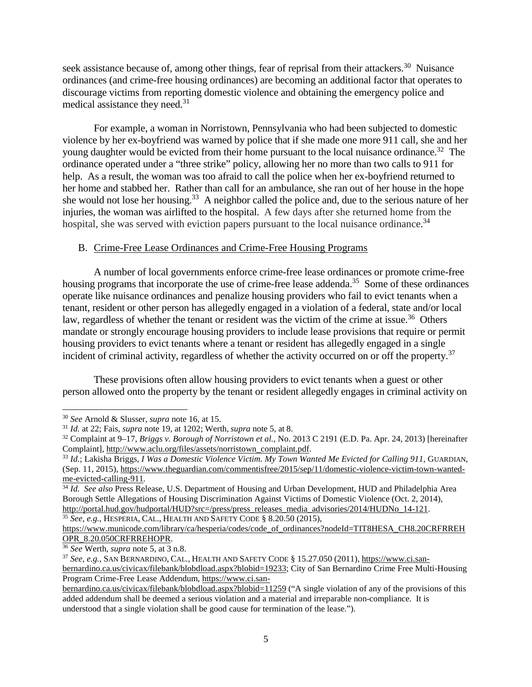seek assistance because of, among other things, fear of reprisal from their attackers.<sup>30</sup> Nuisance ordinances (and crime-free housing ordinances) are becoming an additional factor that operates to discourage victims from reporting domestic violence and obtaining the emergency police and medical assistance they need.<sup>31</sup>

For example, a woman in Norristown, Pennsylvania who had been subjected to domestic violence by her ex-boyfriend was warned by police that if she made one more 911 call, she and her young daughter would be evicted from their home pursuant to the local nuisance ordinance.<sup>32</sup> The ordinance operated under a "three strike" policy, allowing her no more than two calls to 911 for help. As a result, the woman was too afraid to call the police when her ex-boyfriend returned to her home and stabbed her. Rather than call for an ambulance, she ran out of her house in the hope she would not lose her housing.<sup>33</sup> A neighbor called the police and, due to the serious nature of her injuries, the woman was airlifted to the hospital. A few days after she returned home from the hospital, she was served with eviction papers pursuant to the local nuisance ordinance.<sup>34</sup>

#### B. Crime-Free Lease Ordinances and Crime-Free Housing Programs

A number of local governments enforce crime-free lease ordinances or promote crime-free housing programs that incorporate the use of crime-free lease addenda.<sup>35</sup> Some of these ordinances operate like nuisance ordinances and penalize housing providers who fail to evict tenants when a tenant, resident or other person has allegedly engaged in a violation of a federal, state and/or local law, regardless of whether the tenant or resident was the victim of the crime at issue.<sup>36</sup> Others mandate or strongly encourage housing providers to include lease provisions that require or permit housing providers to evict tenants where a tenant or resident has allegedly engaged in a single incident of criminal activity, regardless of whether the activity occurred on or off the property.<sup>37</sup>

These provisions often allow housing providers to evict tenants when a guest or other person allowed onto the property by the tenant or resident allegedly engages in criminal activity on

<sup>35</sup> *See, e.g.*, HESPERIA, CAL., HEALTH AND SAFETY CODE § 8.20.50 (2015),

<sup>36</sup> *See* Werth, *supra* note 5, at 3 n.8.

<sup>30</sup> *See* Arnold & Slusser, *supra* note 16, at 15.

<sup>31</sup> *Id.* at 22; Fais, *supra* note 19, at 1202; Werth, *supra* note 5, at 8.

<sup>32</sup> Complaint at 9–17, *Briggs v. Borough of Norristown et al.*, No. 2013 C 2191 (E.D. Pa. Apr. 24, 2013) [hereinafter Complaint], http://www.aclu.org/files/assets/norristown\_complaint.pdf.

<sup>33</sup> *Id.*; Lakisha Briggs, *I Was a Domestic Violence Victim. My Town Wanted Me Evicted for Calling 911*, GUARDIAN, (Sep. 11, 2015), https://www.theguardian.com/commentisfree/2015/sep/11/domestic-violence-victim-town-wantedme-evicted-calling-911*.*

<sup>34</sup> *Id. See also* Press Release, U.S. Department of Housing and Urban Development, HUD and Philadelphia Area Borough Settle Allegations of Housing Discrimination Against Victims of Domestic Violence (Oct. 2, 2014), http://portal.hud.gov/hudportal/HUD?src=/press/press\_releases\_media\_advisories/2014/HUDNo\_14-121.

https://www.municode.com/library/ca/hesperia/codes/code\_of\_ordinances?nodeId=TIT8HESA\_CH8.20CRFRREH OPR\_8.20.050CRFRREHOPR.

<sup>37</sup> *See, e.g.*, SAN BERNARDINO, CAL., HEALTH AND SAFETY CODE § 15.27.050 (2011), https://www.ci.sanbernardino.ca.us/civicax/filebank/blobdload.aspx?blobid=19233; City of San Bernardino Crime Free Multi-Housing Program Crime-Free Lease Addendum, https://www.ci.san-

bernardino.ca.us/civicax/filebank/blobdload.aspx?blobid=11259 ("A single violation of any of the provisions of this added addendum shall be deemed a serious violation and a material and irreparable non-compliance. It is understood that a single violation shall be good cause for termination of the lease.").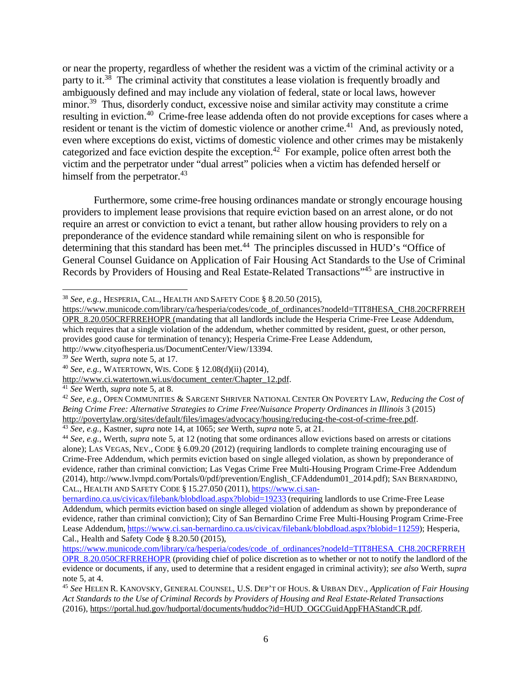or near the property, regardless of whether the resident was a victim of the criminal activity or a party to it.<sup>38</sup> The criminal activity that constitutes a lease violation is frequently broadly and ambiguously defined and may include any violation of federal, state or local laws, however minor.<sup>39</sup> Thus, disorderly conduct, excessive noise and similar activity may constitute a crime resulting in eviction.<sup>40</sup> Crime-free lease addenda often do not provide exceptions for cases where a resident or tenant is the victim of domestic violence or another crime.<sup>41</sup> And, as previously noted, even where exceptions do exist, victims of domestic violence and other crimes may be mistakenly categorized and face eviction despite the exception.<sup>42</sup> For example, police often arrest both the victim and the perpetrator under "dual arrest" policies when a victim has defended herself or himself from the perpetrator.<sup>43</sup>

Furthermore, some crime-free housing ordinances mandate or strongly encourage housing providers to implement lease provisions that require eviction based on an arrest alone, or do not require an arrest or conviction to evict a tenant, but rather allow housing providers to rely on a preponderance of the evidence standard while remaining silent on who is responsible for determining that this standard has been met.<sup>44</sup> The principles discussed in HUD's "Office of General Counsel Guidance on Application of Fair Housing Act Standards to the Use of Criminal Records by Providers of Housing and Real Estate-Related Transactions"<sup>45</sup> are instructive in

<sup>39</sup> *See* Werth, *supra* note 5, at 17.

<sup>41</sup> *See* Werth, *supra* note 5, at 8.

<sup>38</sup> *See, e.g.*, HESPERIA, CAL., HEALTH AND SAFETY CODE § 8.20.50 (2015),

https://www.municode.com/library/ca/hesperia/codes/code\_of\_ordinances?nodeId=TIT8HESA\_CH8.20CRFRREH OPR\_8.20.050CRFRREHOPR (mandating that all landlords include the Hesperia Crime-Free Lease Addendum, which requires that a single violation of the addendum, whether committed by resident, guest, or other person, provides good cause for termination of tenancy); Hesperia Crime-Free Lease Addendum, http://www.cityofhesperia.us/DocumentCenter/View/13394.

<sup>40</sup> *See, e.g.*, WATERTOWN, WIS. CODE § 12.08(d)(ii) (2014),

http://www.ci.watertown.wi.us/document\_center/Chapter\_12.pdf.

<sup>42</sup> *See, e.g.*, OPEN COMMUNITIES & SARGENT SHRIVER NATIONAL CENTER ON POVERTY LAW, *Reducing the Cost of Being Crime Free: Alternative Strategies to Crime Free/Nuisance Property Ordinances in Illinois* 3 (2015) http://povertylaw.org/sites/default/files/images/advocacy/housing/reducing-the-cost-of-crime-free.pdf.

<sup>43</sup> *See, e.g.*, Kastner, *supra* note 14, at 1065; *see* Werth, *supra* note 5, at 21.

<sup>44</sup> *See, e.g.*, Werth, *supra* note 5, at 12 (noting that some ordinances allow evictions based on arrests or citations alone); LAS VEGAS, NEV., CODE § 6.09.20 (2012) (requiring landlords to complete training encouraging use of Crime-Free Addendum, which permits eviction based on single alleged violation, as shown by preponderance of evidence, rather than criminal conviction; Las Vegas Crime Free Multi-Housing Program Crime-Free Addendum (2014), http://www.lvmpd.com/Portals/0/pdf/prevention/English\_CFAddendum01\_2014.pdf); SAN BERNARDINO, CAL., HEALTH AND SAFETY CODE § 15.27.050 (2011), https://www.ci.san-

bernardino.ca.us/civicax/filebank/blobdload.aspx?blobid=19233 (requiring landlords to use Crime-Free Lease Addendum, which permits eviction based on single alleged violation of addendum as shown by preponderance of evidence, rather than criminal conviction); City of San Bernardino Crime Free Multi-Housing Program Crime-Free Lease Addendum, https://www.ci.san-bernardino.ca.us/civicax/filebank/blobdload.aspx?blobid=11259); Hesperia, Cal., Health and Safety Code § 8.20.50 (2015),

https://www.municode.com/library/ca/hesperia/codes/code\_of\_ordinances?nodeId=TIT8HESA\_CH8.20CRFRREH OPR\_8.20.050CRFRREHOPR (providing chief of police discretion as to whether or not to notify the landlord of the evidence or documents, if any, used to determine that a resident engaged in criminal activity); *see also* Werth, *supra* note 5, at 4.

<sup>45</sup> *See* HELEN R. KANOVSKY, GENERAL COUNSEL, U.S. DEP'T OF HOUS. & URBAN DEV., *Application of Fair Housing Act Standards to the Use of Criminal Records by Providers of Housing and Real Estate-Related Transactions* (2016), https://portal.hud.gov/hudportal/documents/huddoc?id=HUD\_OGCGuidAppFHAStandCR.pdf.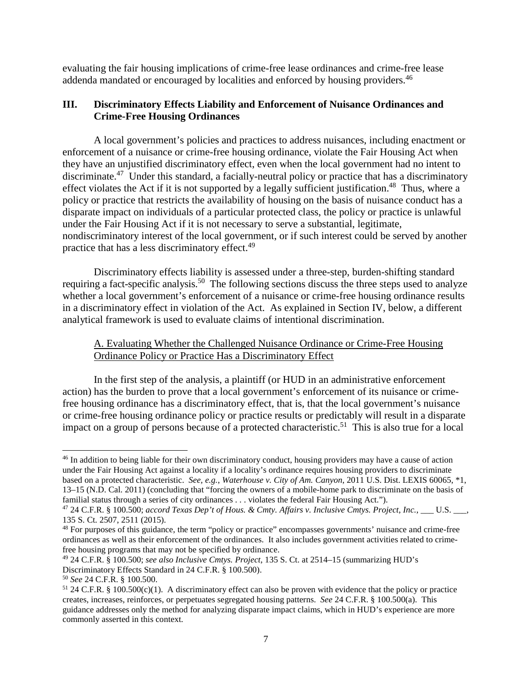evaluating the fair housing implications of crime-free lease ordinances and crime-free lease addenda mandated or encouraged by localities and enforced by housing providers.<sup>46</sup>

# **III. Discriminatory Effects Liability and Enforcement of Nuisance Ordinances and Crime-Free Housing Ordinances**

A local government's policies and practices to address nuisances, including enactment or enforcement of a nuisance or crime-free housing ordinance, violate the Fair Housing Act when they have an unjustified discriminatory effect, even when the local government had no intent to discriminate.<sup>47</sup> Under this standard, a facially-neutral policy or practice that has a discriminatory effect violates the Act if it is not supported by a legally sufficient justification.<sup>48</sup> Thus, where a policy or practice that restricts the availability of housing on the basis of nuisance conduct has a disparate impact on individuals of a particular protected class, the policy or practice is unlawful under the Fair Housing Act if it is not necessary to serve a substantial, legitimate, nondiscriminatory interest of the local government, or if such interest could be served by another practice that has a less discriminatory effect.<sup>49</sup>

Discriminatory effects liability is assessed under a three-step, burden-shifting standard requiring a fact-specific analysis.<sup>50</sup> The following sections discuss the three steps used to analyze whether a local government's enforcement of a nuisance or crime-free housing ordinance results in a discriminatory effect in violation of the Act. As explained in Section IV, below, a different analytical framework is used to evaluate claims of intentional discrimination.

# A. Evaluating Whether the Challenged Nuisance Ordinance or Crime-Free Housing Ordinance Policy or Practice Has a Discriminatory Effect

In the first step of the analysis, a plaintiff (or HUD in an administrative enforcement action) has the burden to prove that a local government's enforcement of its nuisance or crimefree housing ordinance has a discriminatory effect, that is, that the local government's nuisance or crime-free housing ordinance policy or practice results or predictably will result in a disparate impact on a group of persons because of a protected characteristic.<sup>51</sup> This is also true for a local

<sup>&</sup>lt;sup>46</sup> In addition to being liable for their own discriminatory conduct, housing providers may have a cause of action under the Fair Housing Act against a locality if a locality's ordinance requires housing providers to discriminate based on a protected characteristic. *See, e.g.*, *Waterhouse v. City of Am. Canyon*, 2011 U.S. Dist. LEXIS 60065, \*1, 13–15 (N.D. Cal. 2011) (concluding that "forcing the owners of a mobile-home park to discriminate on the basis of familial status through a series of city ordinances . . . violates the federal Fair Housing Act.").

<sup>47</sup> 24 C.F.R. § 100.500; *accord Texas Dep't of Hous. & Cmty. Affairs v. Inclusive Cmtys. Project*, *Inc.*, \_\_\_ U.S. \_\_\_, 135 S. Ct. 2507, 2511 (2015).

<sup>&</sup>lt;sup>48</sup> For purposes of this guidance, the term "policy or practice" encompasses governments' nuisance and crime-free ordinances as well as their enforcement of the ordinances. It also includes government activities related to crimefree housing programs that may not be specified by ordinance.

<sup>49</sup> 24 C.F.R. § 100.500; *see also Inclusive Cmtys. Project*, 135 S. Ct. at 2514–15 (summarizing HUD's Discriminatory Effects Standard in 24 C.F.R. § 100.500).

<sup>50</sup> *See* 24 C.F.R. § 100.500.

<sup>51</sup> 24 C.F.R. § 100.500(c)(1). A discriminatory effect can also be proven with evidence that the policy or practice creates, increases, reinforces, or perpetuates segregated housing patterns. *See* 24 C.F.R. § 100.500(a). This guidance addresses only the method for analyzing disparate impact claims, which in HUD's experience are more commonly asserted in this context.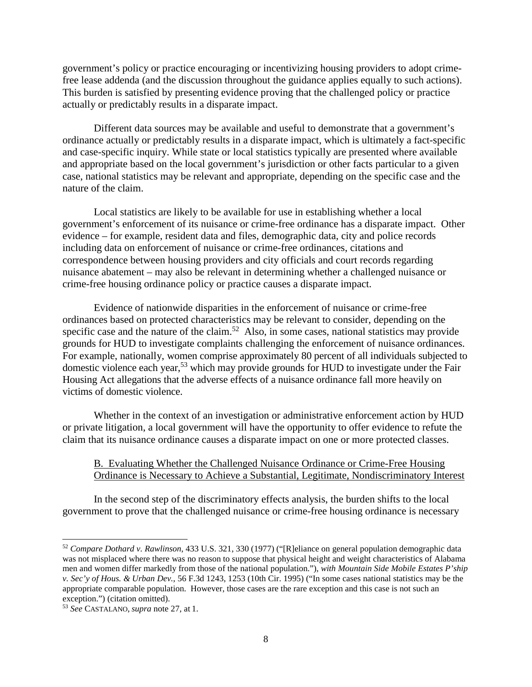government's policy or practice encouraging or incentivizing housing providers to adopt crimefree lease addenda (and the discussion throughout the guidance applies equally to such actions). This burden is satisfied by presenting evidence proving that the challenged policy or practice actually or predictably results in a disparate impact.

Different data sources may be available and useful to demonstrate that a government's ordinance actually or predictably results in a disparate impact, which is ultimately a fact-specific and case-specific inquiry. While state or local statistics typically are presented where available and appropriate based on the local government's jurisdiction or other facts particular to a given case, national statistics may be relevant and appropriate, depending on the specific case and the nature of the claim.

Local statistics are likely to be available for use in establishing whether a local government's enforcement of its nuisance or crime-free ordinance has a disparate impact. Other evidence – for example, resident data and files, demographic data, city and police records including data on enforcement of nuisance or crime-free ordinances, citations and correspondence between housing providers and city officials and court records regarding nuisance abatement – may also be relevant in determining whether a challenged nuisance or crime-free housing ordinance policy or practice causes a disparate impact.

Evidence of nationwide disparities in the enforcement of nuisance or crime-free ordinances based on protected characteristics may be relevant to consider, depending on the specific case and the nature of the claim.<sup>52</sup> Also, in some cases, national statistics may provide grounds for HUD to investigate complaints challenging the enforcement of nuisance ordinances. For example, nationally, women comprise approximately 80 percent of all individuals subjected to domestic violence each year,<sup>53</sup> which may provide grounds for HUD to investigate under the Fair Housing Act allegations that the adverse effects of a nuisance ordinance fall more heavily on victims of domestic violence.

Whether in the context of an investigation or administrative enforcement action by HUD or private litigation, a local government will have the opportunity to offer evidence to refute the claim that its nuisance ordinance causes a disparate impact on one or more protected classes.

## B. Evaluating Whether the Challenged Nuisance Ordinance or Crime-Free Housing Ordinance is Necessary to Achieve a Substantial, Legitimate, Nondiscriminatory Interest

In the second step of the discriminatory effects analysis, the burden shifts to the local government to prove that the challenged nuisance or crime-free housing ordinance is necessary

<sup>52</sup> *Compare Dothard v. Rawlinson*, 433 U.S. 321, 330 (1977) ("[R]eliance on general population demographic data was not misplaced where there was no reason to suppose that physical height and weight characteristics of Alabama men and women differ markedly from those of the national population."), *with Mountain Side Mobile Estates P'ship v. Sec'y of Hous. & Urban Dev.*, 56 F.3d 1243, 1253 (10th Cir. 1995) ("In some cases national statistics may be the appropriate comparable population. However, those cases are the rare exception and this case is not such an exception.") (citation omitted).

<sup>53</sup> *See* CASTALANO, *supra* note 27, at 1.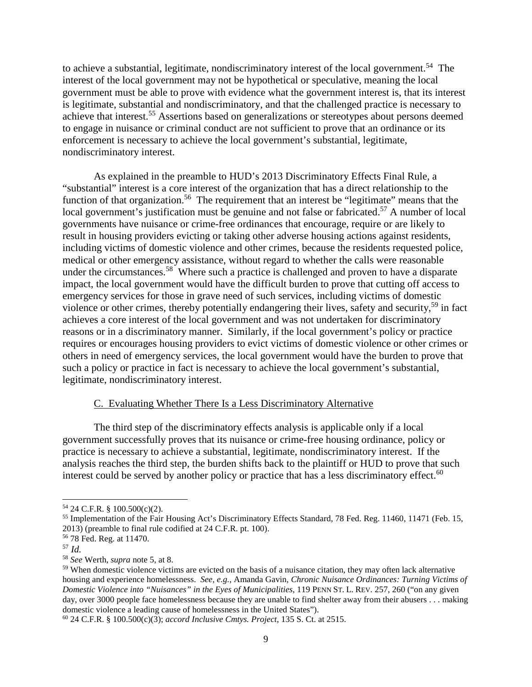to achieve a substantial, legitimate, nondiscriminatory interest of the local government.<sup>54</sup> The interest of the local government may not be hypothetical or speculative, meaning the local government must be able to prove with evidence what the government interest is, that its interest is legitimate, substantial and nondiscriminatory, and that the challenged practice is necessary to achieve that interest.<sup>55</sup> Assertions based on generalizations or stereotypes about persons deemed to engage in nuisance or criminal conduct are not sufficient to prove that an ordinance or its enforcement is necessary to achieve the local government's substantial, legitimate, nondiscriminatory interest.

As explained in the preamble to HUD's 2013 Discriminatory Effects Final Rule, a "substantial" interest is a core interest of the organization that has a direct relationship to the function of that organization.<sup>56</sup> The requirement that an interest be "legitimate" means that the local government's justification must be genuine and not false or fabricated.<sup>57</sup> A number of local governments have nuisance or crime-free ordinances that encourage, require or are likely to result in housing providers evicting or taking other adverse housing actions against residents, including victims of domestic violence and other crimes, because the residents requested police, medical or other emergency assistance, without regard to whether the calls were reasonable under the circumstances.<sup>58</sup> Where such a practice is challenged and proven to have a disparate impact, the local government would have the difficult burden to prove that cutting off access to emergency services for those in grave need of such services, including victims of domestic violence or other crimes, thereby potentially endangering their lives, safety and security,<sup>59</sup> in fact achieves a core interest of the local government and was not undertaken for discriminatory reasons or in a discriminatory manner. Similarly, if the local government's policy or practice requires or encourages housing providers to evict victims of domestic violence or other crimes or others in need of emergency services, the local government would have the burden to prove that such a policy or practice in fact is necessary to achieve the local government's substantial, legitimate, nondiscriminatory interest.

#### C. Evaluating Whether There Is a Less Discriminatory Alternative

The third step of the discriminatory effects analysis is applicable only if a local government successfully proves that its nuisance or crime-free housing ordinance, policy or practice is necessary to achieve a substantial, legitimate, nondiscriminatory interest. If the analysis reaches the third step, the burden shifts back to the plaintiff or HUD to prove that such interest could be served by another policy or practice that has a less discriminatory effect.<sup>60</sup>

<sup>54</sup> 24 C.F.R. § 100.500(c)(2).

<sup>55</sup> Implementation of the Fair Housing Act's Discriminatory Effects Standard, 78 Fed. Reg. 11460, 11471 (Feb. 15, 2013) (preamble to final rule codified at 24 C.F.R. pt. 100).

<sup>56</sup> 78 Fed. Reg. at 11470.

<sup>57</sup> *Id.*

<sup>58</sup> *See* Werth, *supra* note 5, at 8.

<sup>59</sup> When domestic violence victims are evicted on the basis of a nuisance citation, they may often lack alternative housing and experience homelessness. *See, e.g.*, Amanda Gavin, *Chronic Nuisance Ordinances: Turning Victims of Domestic Violence into "Nuisances" in the Eyes of Municipalities*, 119 PENN ST. L. REV. 257, 260 ("on any given day, over 3000 people face homelessness because they are unable to find shelter away from their abusers . . . making domestic violence a leading cause of homelessness in the United States").

<sup>60</sup> 24 C.F.R. § 100.500(c)(3); *accord Inclusive Cmtys. Project*, 135 S. Ct. at 2515.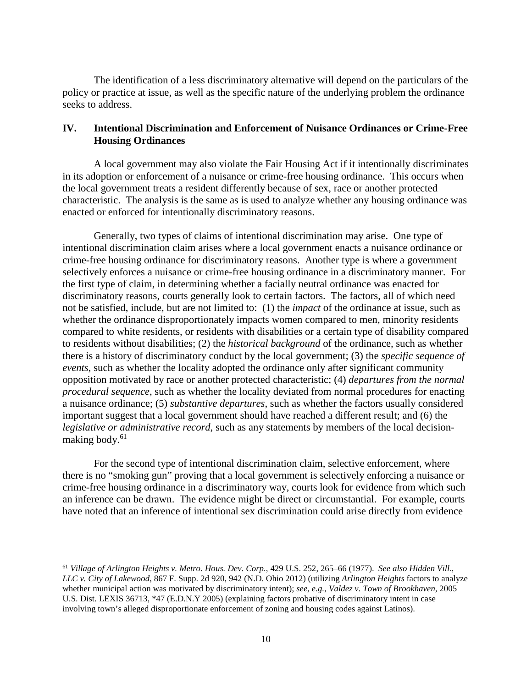The identification of a less discriminatory alternative will depend on the particulars of the policy or practice at issue, as well as the specific nature of the underlying problem the ordinance seeks to address.

## **IV. Intentional Discrimination and Enforcement of Nuisance Ordinances or Crime-Free Housing Ordinances**

A local government may also violate the Fair Housing Act if it intentionally discriminates in its adoption or enforcement of a nuisance or crime-free housing ordinance. This occurs when the local government treats a resident differently because of sex, race or another protected characteristic. The analysis is the same as is used to analyze whether any housing ordinance was enacted or enforced for intentionally discriminatory reasons.

Generally, two types of claims of intentional discrimination may arise. One type of intentional discrimination claim arises where a local government enacts a nuisance ordinance or crime-free housing ordinance for discriminatory reasons. Another type is where a government selectively enforces a nuisance or crime-free housing ordinance in a discriminatory manner. For the first type of claim, in determining whether a facially neutral ordinance was enacted for discriminatory reasons, courts generally look to certain factors. The factors, all of which need not be satisfied, include, but are not limited to: (1) the *impact* of the ordinance at issue, such as whether the ordinance disproportionately impacts women compared to men, minority residents compared to white residents, or residents with disabilities or a certain type of disability compared to residents without disabilities; (2) the *historical background* of the ordinance, such as whether there is a history of discriminatory conduct by the local government; (3) the *specific sequence of events*, such as whether the locality adopted the ordinance only after significant community opposition motivated by race or another protected characteristic; (4) *departures from the normal procedural sequence*, such as whether the locality deviated from normal procedures for enacting a nuisance ordinance; (5) *substantive departures*, such as whether the factors usually considered important suggest that a local government should have reached a different result; and (6) the *legislative or administrative record*, such as any statements by members of the local decisionmaking body. $61$ 

For the second type of intentional discrimination claim, selective enforcement, where there is no "smoking gun" proving that a local government is selectively enforcing a nuisance or crime-free housing ordinance in a discriminatory way, courts look for evidence from which such an inference can be drawn. The evidence might be direct or circumstantial. For example, courts have noted that an inference of intentional sex discrimination could arise directly from evidence

<sup>61</sup> *Village of Arlington Heights v. Metro. Hous. Dev. Corp.*, 429 U.S. 252, 265–66 (1977). *See also Hidden Vill.*, *LLC v. City of Lakewood*, 867 F. Supp. 2d 920, 942 (N.D. Ohio 2012) (utilizing *Arlington Heights* factors to analyze whether municipal action was motivated by discriminatory intent); *see, e.g.*, *Valdez v. Town of Brookhaven*, 2005 U.S. Dist. LEXIS 36713, \*47 (E.D.N.Y 2005) (explaining factors probative of discriminatory intent in case involving town's alleged disproportionate enforcement of zoning and housing codes against Latinos).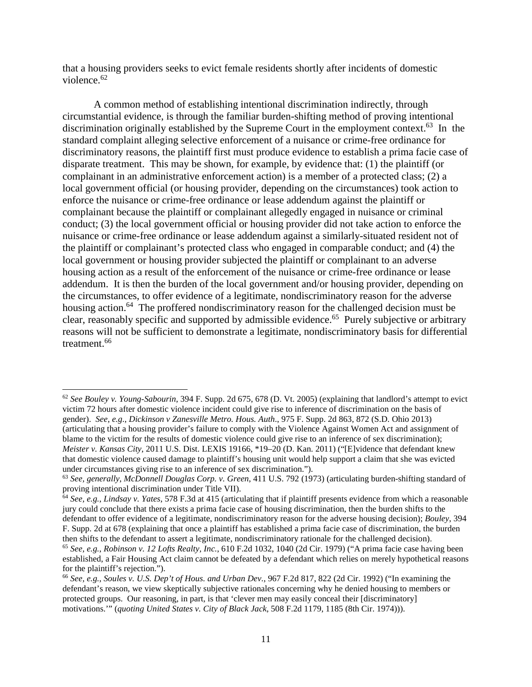that a housing providers seeks to evict female residents shortly after incidents of domestic violence.<sup>62</sup>

A common method of establishing intentional discrimination indirectly, through circumstantial evidence, is through the familiar burden-shifting method of proving intentional discrimination originally established by the Supreme Court in the employment context.<sup>63</sup> In the standard complaint alleging selective enforcement of a nuisance or crime-free ordinance for discriminatory reasons, the plaintiff first must produce evidence to establish a prima facie case of disparate treatment. This may be shown, for example, by evidence that: (1) the plaintiff (or complainant in an administrative enforcement action) is a member of a protected class; (2) a local government official (or housing provider, depending on the circumstances) took action to enforce the nuisance or crime-free ordinance or lease addendum against the plaintiff or complainant because the plaintiff or complainant allegedly engaged in nuisance or criminal conduct; (3) the local government official or housing provider did not take action to enforce the nuisance or crime-free ordinance or lease addendum against a similarly-situated resident not of the plaintiff or complainant's protected class who engaged in comparable conduct; and (4) the local government or housing provider subjected the plaintiff or complainant to an adverse housing action as a result of the enforcement of the nuisance or crime-free ordinance or lease addendum. It is then the burden of the local government and/or housing provider, depending on the circumstances, to offer evidence of a legitimate, nondiscriminatory reason for the adverse housing action.<sup>64</sup> The proffered nondiscriminatory reason for the challenged decision must be clear, reasonably specific and supported by admissible evidence.<sup>65</sup> Purely subjective or arbitrary reasons will not be sufficient to demonstrate a legitimate, nondiscriminatory basis for differential treatment.<sup>66</sup>

<sup>62</sup> *See Bouley v. Young-Sabourin*, 394 F. Supp. 2d 675, 678 (D. Vt. 2005) (explaining that landlord's attempt to evict victim 72 hours after domestic violence incident could give rise to inference of discrimination on the basis of gender). *See, e.g.*, *Dickinson v Zanesville Metro. Hous. Auth*., 975 F. Supp. 2d 863, 872 (S.D. Ohio 2013) (articulating that a housing provider's failure to comply with the Violence Against Women Act and assignment of blame to the victim for the results of domestic violence could give rise to an inference of sex discrimination); *Meister v. Kansas City*, 2011 U.S. Dist. LEXIS 19166, \*19–20 (D. Kan. 2011) ("[E]vidence that defendant knew that domestic violence caused damage to plaintiff's housing unit would help support a claim that she was evicted under circumstances giving rise to an inference of sex discrimination.").

<sup>63</sup> *See, generally*, *McDonnell Douglas Corp. v. Green*, 411 U.S. 792 (1973) (articulating burden-shifting standard of proving intentional discrimination under Title VII).

<sup>64</sup> *See, e.g.*, *Lindsay v. Yates*, 578 F.3d at 415 (articulating that if plaintiff presents evidence from which a reasonable jury could conclude that there exists a prima facie case of housing discrimination, then the burden shifts to the defendant to offer evidence of a legitimate, nondiscriminatory reason for the adverse housing decision); *Bouley*, 394 F. Supp. 2d at 678 (explaining that once a plaintiff has established a prima facie case of discrimination, the burden then shifts to the defendant to assert a legitimate, nondiscriminatory rationale for the challenged decision).

<sup>65</sup> *See, e.g.*, *Robinson v. 12 Lofts Realty, Inc.*, 610 F.2d 1032, 1040 (2d Cir. 1979) ("A prima facie case having been established, a Fair Housing Act claim cannot be defeated by a defendant which relies on merely hypothetical reasons for the plaintiff's rejection.").

<sup>66</sup> *See, e.g.*, *Soules v. U.S. Dep't of Hous. and Urban Dev.*, 967 F.2d 817, 822 (2d Cir. 1992) ("In examining the defendant's reason, we view skeptically subjective rationales concerning why he denied housing to members or protected groups. Our reasoning, in part, is that 'clever men may easily conceal their [discriminatory] motivations.'" (*quoting United States v. City of Black Jack*, 508 F.2d 1179, 1185 (8th Cir. 1974))).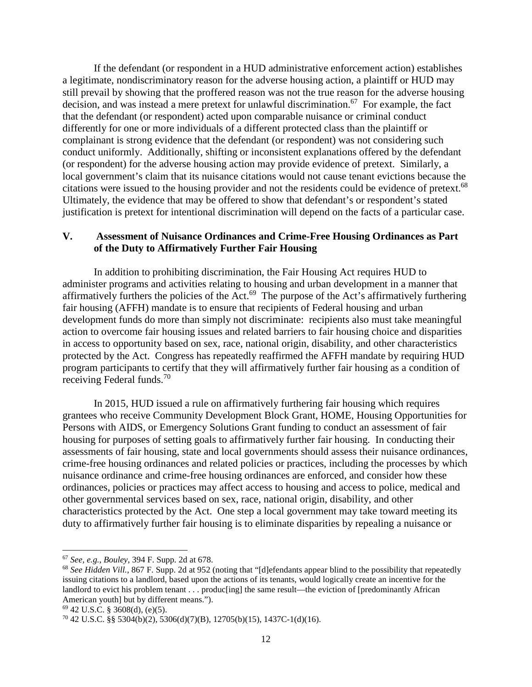If the defendant (or respondent in a HUD administrative enforcement action) establishes a legitimate, nondiscriminatory reason for the adverse housing action, a plaintiff or HUD may still prevail by showing that the proffered reason was not the true reason for the adverse housing decision, and was instead a mere pretext for unlawful discrimination.<sup>67</sup> For example, the fact that the defendant (or respondent) acted upon comparable nuisance or criminal conduct differently for one or more individuals of a different protected class than the plaintiff or complainant is strong evidence that the defendant (or respondent) was not considering such conduct uniformly. Additionally, shifting or inconsistent explanations offered by the defendant (or respondent) for the adverse housing action may provide evidence of pretext. Similarly, a local government's claim that its nuisance citations would not cause tenant evictions because the citations were issued to the housing provider and not the residents could be evidence of pretext.<sup>68</sup> Ultimately, the evidence that may be offered to show that defendant's or respondent's stated justification is pretext for intentional discrimination will depend on the facts of a particular case.

## **V. Assessment of Nuisance Ordinances and Crime-Free Housing Ordinances as Part of the Duty to Affirmatively Further Fair Housing**

In addition to prohibiting discrimination, the Fair Housing Act requires HUD to administer programs and activities relating to housing and urban development in a manner that affirmatively furthers the policies of the Act.<sup>69</sup> The purpose of the Act's affirmatively furthering fair housing (AFFH) mandate is to ensure that recipients of Federal housing and urban development funds do more than simply not discriminate: recipients also must take meaningful action to overcome fair housing issues and related barriers to fair housing choice and disparities in access to opportunity based on sex, race, national origin, disability, and other characteristics protected by the Act. Congress has repeatedly reaffirmed the AFFH mandate by requiring HUD program participants to certify that they will affirmatively further fair housing as a condition of receiving Federal funds.<sup>70</sup>

In 2015, HUD issued a rule on affirmatively furthering fair housing which requires grantees who receive Community Development Block Grant, HOME, Housing Opportunities for Persons with AIDS, or Emergency Solutions Grant funding to conduct an assessment of fair housing for purposes of setting goals to affirmatively further fair housing. In conducting their assessments of fair housing, state and local governments should assess their nuisance ordinances, crime-free housing ordinances and related policies or practices, including the processes by which nuisance ordinance and crime-free housing ordinances are enforced, and consider how these ordinances, policies or practices may affect access to housing and access to police, medical and other governmental services based on sex, race, national origin, disability, and other characteristics protected by the Act. One step a local government may take toward meeting its duty to affirmatively further fair housing is to eliminate disparities by repealing a nuisance or

<sup>67</sup> *See, e.g.*, *Bouley*, 394 F. Supp. 2d at 678.

<sup>&</sup>lt;sup>68</sup> See Hidden Vill., 867 F. Supp. 2d at 952 (noting that "[d]efendants appear blind to the possibility that repeatedly issuing citations to a landlord, based upon the actions of its tenants, would logically create an incentive for the landlord to evict his problem tenant . . . produceing] the same result—the eviction of [predominantly African American youth] but by different means.").

 $69$  42 U.S.C. § 3608(d), (e)(5).

<sup>70</sup> 42 U.S.C. §§ 5304(b)(2), 5306(d)(7)(B), 12705(b)(15), 1437C-1(d)(16).